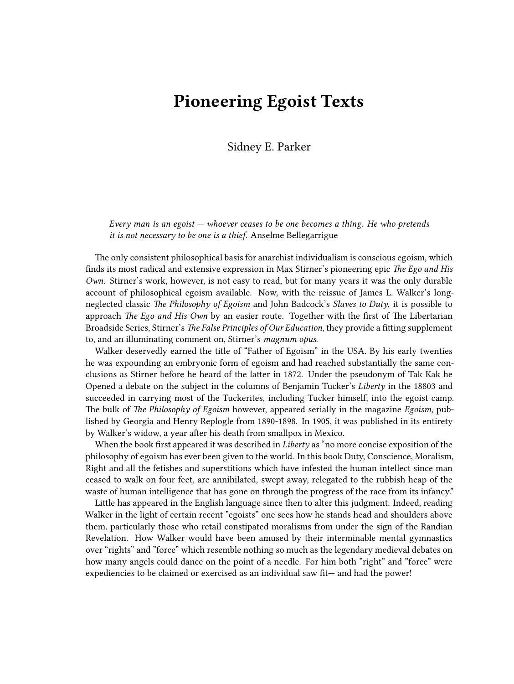## **Pioneering Egoist Texts**

Sidney E. Parker

*Every man is an egoist — whoever ceases to be one becomes a thing. He who pretends it is not necessary to be one is a thief.* Anselme Bellegarrigue

The only consistent philosophical basis for anarchist individualism is conscious egoism, which finds its most radical and extensive expression in Max Stirner's pioneering epic *The Ego and His Own*. Stirner's work, however, is not easy to read, but for many years it was the only durable account of philosophical egoism available. Now, with the reissue of James L. Walker's longneglected classic *The Philosophy of Egoism* and John Badcock's *Slaves to Duty*, it is possible to approach *The Ego and His Own* by an easier route. Together with the first of The Libertarian Broadside Series, Stirner's *The False Principles of Our Education*, they provide a fitting supplement to, and an illuminating comment on, Stirner's *magnum opus*.

Walker deservedly earned the title of "Father of Egoism" in the USA. By his early twenties he was expounding an embryonic form of egoism and had reached substantially the same conclusions as Stirner before he heard of the latter in 1872. Under the pseudonym of Tak Kak he Opened a debate on the subject in the columns of Benjamin Tucker's *Liberty* in the 18803 and succeeded in carrying most of the Tuckerites, including Tucker himself, into the egoist camp. The bulk of *The Philosophy of Egoism* however, appeared serially in the magazine *Egoism*, published by Georgia and Henry Replogle from 1890-1898. In 1905, it was published in its entirety by Walker's widow, a year after his death from smallpox in Mexico.

When the book first appeared it was described in *Liberty* as "no more concise exposition of the philosophy of egoism has ever been given to the world. In this book Duty, Conscience, Moralism, Right and all the fetishes and superstitions which have infested the human intellect since man ceased to walk on four feet, are annihilated, swept away, relegated to the rubbish heap of the waste of human intelligence that has gone on through the progress of the race from its infancy."

Little has appeared in the English language since then to alter this judgment. Indeed, reading Walker in the light of certain recent "egoists" one sees how he stands head and shoulders above them, particularly those who retail constipated moralisms from under the sign of the Randian Revelation. How Walker would have been amused by their interminable mental gymnastics over "rights" and "force" which resemble nothing so much as the legendary medieval debates on how many angels could dance on the point of a needle. For him both "right" and "force" were expediencies to be claimed or exercised as an individual saw fit— and had the power!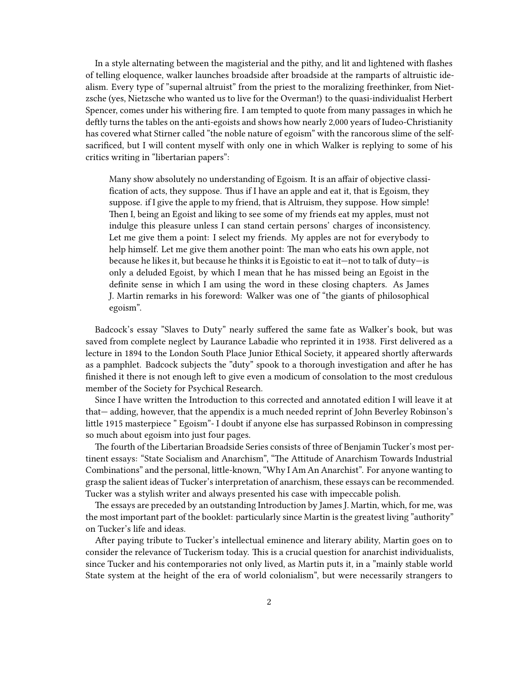In a style alternating between the magisterial and the pithy, and lit and lightened with flashes of telling eloquence, walker launches broadside after broadside at the ramparts of altruistic idealism. Every type of "supernal altruist" from the priest to the moralizing freethinker, from Nietzsche (yes, Nietzsche who wanted us to live for the Overman!) to the quasi-individualist Herbert Spencer, comes under his withering fire. I am tempted to quote from many passages in which he deftly turns the tables on the anti-egoists and shows how nearly 2,000 years of Iudeo-Christianity has covered what Stirner called "the noble nature of egoism" with the rancorous slime of the selfsacrificed, but I will content myself with only one in which Walker is replying to some of his critics writing in "libertarian papers":

Many show absolutely no understanding of Egoism. It is an affair of objective classification of acts, they suppose. Thus if I have an apple and eat it, that is Egoism, they suppose. if I give the apple to my friend, that is Altruism, they suppose. How simple! Then I, being an Egoist and liking to see some of my friends eat my apples, must not indulge this pleasure unless I can stand certain persons' charges of inconsistency. Let me give them a point: I select my friends. My apples are not for everybody to help himself. Let me give them another point: The man who eats his own apple, not because he likes it, but because he thinks it is Egoistic to eat it—not to talk of duty—is only a deluded Egoist, by which I mean that he has missed being an Egoist in the definite sense in which I am using the word in these closing chapters. As James J. Martin remarks in his foreword: Walker was one of "the giants of philosophical egoism".

Badcock's essay "Slaves to Duty" nearly suffered the same fate as Walker's book, but was saved from complete neglect by Laurance Labadie who reprinted it in 1938. First delivered as a lecture in 1894 to the London South Place Junior Ethical Society, it appeared shortly afterwards as a pamphlet. Badcock subjects the "duty" spook to a thorough investigation and after he has finished it there is not enough left to give even a modicum of consolation to the most credulous member of the Society for Psychical Research.

Since I have written the Introduction to this corrected and annotated edition I will leave it at that— adding, however, that the appendix is a much needed reprint of John Beverley Robinson's little 1915 masterpiece " Egoism"- I doubt if anyone else has surpassed Robinson in compressing so much about egoism into just four pages.

The fourth of the Libertarian Broadside Series consists of three of Benjamin Tucker's most pertinent essays: "State Socialism and Anarchism", "The Attitude of Anarchism Towards Industrial Combinations" and the personal, little-known, "Why I Am An Anarchist". For anyone wanting to grasp the salient ideas of Tucker's interpretation of anarchism, these essays can be recommended. Tucker was a stylish writer and always presented his case with impeccable polish.

The essays are preceded by an outstanding Introduction by James J. Martin, which, for me, was the most important part of the booklet: particularly since Martin is the greatest living "authority" on Tucker's life and ideas.

After paying tribute to Tucker's intellectual eminence and literary ability, Martin goes on to consider the relevance of Tuckerism today. This is a crucial question for anarchist individualists, since Tucker and his contemporaries not only lived, as Martin puts it, in a "mainly stable world State system at the height of the era of world colonialism", but were necessarily strangers to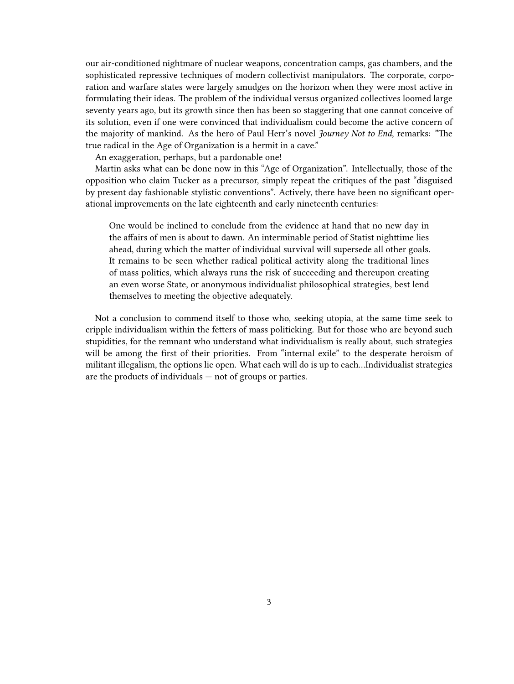our air-conditioned nightmare of nuclear weapons, concentration camps, gas chambers, and the sophisticated repressive techniques of modern collectivist manipulators. The corporate, corporation and warfare states were largely smudges on the horizon when they were most active in formulating their ideas. The problem of the individual versus organized collectives loomed large seventy years ago, but its growth since then has been so staggering that one cannot conceive of its solution, even if one were convinced that individualism could become the active concern of the majority of mankind. As the hero of Paul Herr's novel *Journey Not to End*, remarks: "The true radical in the Age of Organization is a hermit in a cave."

An exaggeration, perhaps, but a pardonable one!

Martin asks what can be done now in this "Age of Organization". Intellectually, those of the opposition who claim Tucker as a precursor, simply repeat the critiques of the past "disguised by present day fashionable stylistic conventions". Actively, there have been no significant operational improvements on the late eighteenth and early nineteenth centuries:

One would be inclined to conclude from the evidence at hand that no new day in the affairs of men is about to dawn. An interminable period of Statist nighttime lies ahead, during which the matter of individual survival will supersede all other goals. It remains to be seen whether radical political activity along the traditional lines of mass politics, which always runs the risk of succeeding and thereupon creating an even worse State, or anonymous individualist philosophical strategies, best lend themselves to meeting the objective adequately.

Not a conclusion to commend itself to those who, seeking utopia, at the same time seek to cripple individualism within the fetters of mass politicking. But for those who are beyond such stupidities, for the remnant who understand what individualism is really about, such strategies will be among the first of their priorities. From "internal exile" to the desperate heroism of militant illegalism, the options lie open. What each will do is up to each…Individualist strategies are the products of individuals — not of groups or parties.